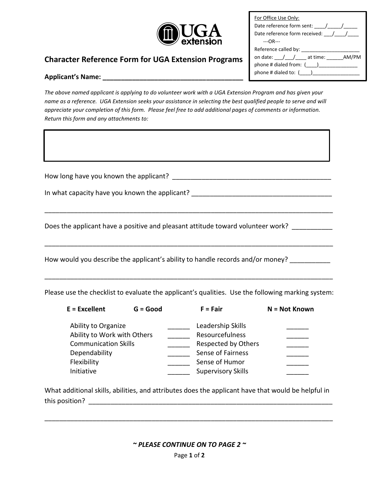

| For Office Use Only:                |  |  |  |  |  |
|-------------------------------------|--|--|--|--|--|
| Date reference form sent: / /       |  |  |  |  |  |
| Date reference form received: ///// |  |  |  |  |  |
| $---OR---$                          |  |  |  |  |  |
|                                     |  |  |  |  |  |
| on date: / / at time: AM/PM         |  |  |  |  |  |
| phone # dialed from: ()             |  |  |  |  |  |
| phone # dialed to: ()               |  |  |  |  |  |

## **Character Reference Form for UGA Extension Programs**

## **Applicant's Name: \_\_\_\_\_\_\_\_\_\_\_\_\_\_\_\_\_\_\_\_\_\_\_\_\_\_\_\_\_\_\_\_\_\_\_\_\_\_**

*The above named applicant is applying to do volunteer work with a UGA Extension Program and has given your name as a reference. UGA Extension seeks your assistance in selecting the best qualified people to serve and will appreciate your completion of this form. Please feel free to add additional pages of comments or information. Return this form and any attachments to:* 

| How long have you known the applicant?<br>In what capacity have you known the applicant? |
|------------------------------------------------------------------------------------------|
| Does the applicant have a positive and pleasant attitude toward volunteer work?          |
| How would you describe the applicant's ability to handle records and/or money?           |

Please use the checklist to evaluate the applicant's qualities. Use the following marking system:

\_\_\_\_\_\_\_\_\_\_\_\_\_\_\_\_\_\_\_\_\_\_\_\_\_\_\_\_\_\_\_\_\_\_\_\_\_\_\_\_\_\_\_\_\_\_\_\_\_\_\_\_\_\_\_\_\_\_\_\_\_\_\_\_\_\_\_\_\_\_\_\_\_\_\_\_\_\_

| $E = Excellent$             | $G = Good$ | $F = Fair$                | N = Not Known |
|-----------------------------|------------|---------------------------|---------------|
| Ability to Organize         |            | Leadership Skills         |               |
| Ability to Work with Others |            | Resourcefulness           |               |
| <b>Communication Skills</b> |            | Respected by Others       |               |
| Dependability               |            | Sense of Fairness         |               |
| Flexibility                 |            | Sense of Humor            |               |
| Initiative                  |            | <b>Supervisory Skills</b> |               |

What additional skills, abilities, and attributes does the applicant have that would be helpful in this position?

*~ PLEASE CONTINUE ON TO PAGE 2 ~* 

\_\_\_\_\_\_\_\_\_\_\_\_\_\_\_\_\_\_\_\_\_\_\_\_\_\_\_\_\_\_\_\_\_\_\_\_\_\_\_\_\_\_\_\_\_\_\_\_\_\_\_\_\_\_\_\_\_\_\_\_\_\_\_\_\_\_\_\_\_\_\_\_\_\_\_\_\_\_